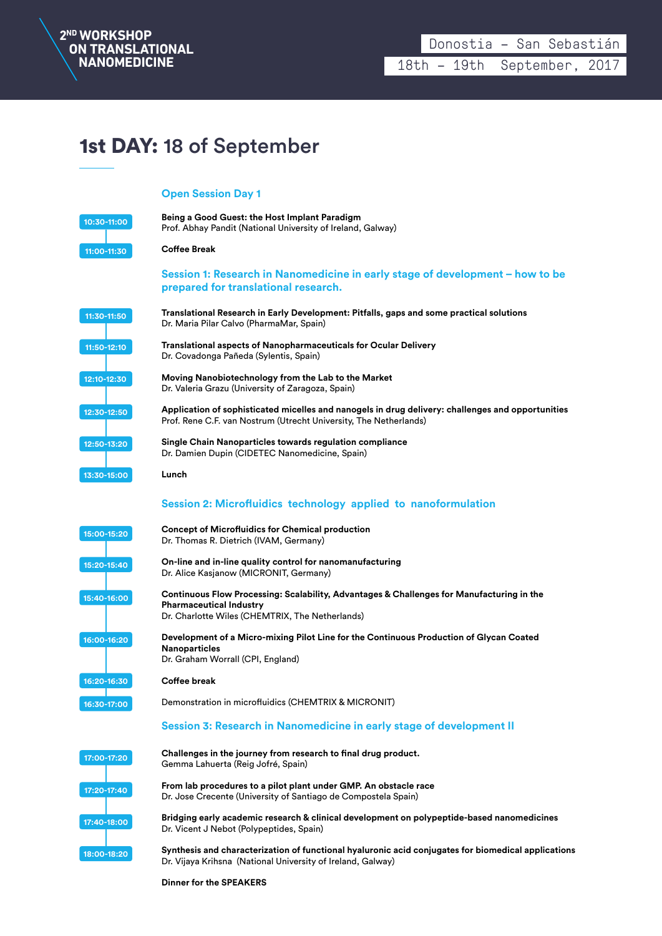

## 1st DAY: 18 of September

## **Open Session Day 1**

| 10:30-11:00   | Being a Good Guest: the Host Implant Paradigm<br>Prof. Abhay Pandit (National University of Ireland, Galway)                                                                   |
|---------------|--------------------------------------------------------------------------------------------------------------------------------------------------------------------------------|
| 11:00-11:30   | <b>Coffee Break</b>                                                                                                                                                            |
|               | Session 1: Research in Nanomedicine in early stage of development - how to be<br>prepared for translational research.                                                          |
| 11:30-11:50   | Translational Research in Early Development: Pitfalls, gaps and some practical solutions<br>Dr. Maria Pilar Calvo (PharmaMar, Spain)                                           |
| 11:50-12:10   | <b>Translational aspects of Nanopharmaceuticals for Ocular Delivery</b><br>Dr. Covadonga Pañeda (Sylentis, Spain)                                                              |
| 12:10-12:30   | Moving Nanobiotechnology from the Lab to the Market<br>Dr. Valeria Grazu (University of Zaragoza, Spain)                                                                       |
| 12:30-12:50   | Application of sophisticated micelles and nanogels in drug delivery: challenges and opportunities<br>Prof. Rene C.F. van Nostrum (Utrecht University, The Netherlands)         |
| 12:50-13:20   | Single Chain Nanoparticles towards regulation compliance<br>Dr. Damien Dupin (CIDETEC Nanomedicine, Spain)                                                                     |
| 13:30-15:00   | Lunch                                                                                                                                                                          |
|               | Session 2: Microfluidics technology applied to nanoformulation                                                                                                                 |
| 15:00-15:20   | <b>Concept of Microfluidics for Chemical production</b><br>Dr. Thomas R. Dietrich (IVAM, Germany)                                                                              |
| 15:20-15:40   | On-line and in-line quality control for nanomanufacturing<br>Dr. Alice Kasjanow (MICRONIT, Germany)                                                                            |
| 15:40-16:00   | Continuous Flow Processing: Scalability, Advantages & Challenges for Manufacturing in the<br><b>Pharmaceutical Industry</b><br>Dr. Charlotte Wiles (CHEMTRIX, The Netherlands) |
| 16:00-16:20   | Development of a Micro-mixing Pilot Line for the Continuous Production of Glycan Coated<br><b>Nanoparticles</b><br>Dr. Graham Worrall (CPI, England)                           |
| 16:20-16:30   | Coffee break                                                                                                                                                                   |
| $16:30-17:00$ | Demonstration in microfluidics (CHEMTRIX & MICRONIT)                                                                                                                           |
|               | Session 3: Research in Nanomedicine in early stage of development II                                                                                                           |
| 17:00-17:20   | Challenges in the journey from research to final drug product.<br>Gemma Lahuerta (Reig Jofré, Spain)                                                                           |
| 17:20-17:40   | From lab procedures to a pilot plant under GMP. An obstacle race<br>Dr. Jose Crecente (University of Santiago de Compostela Spain)                                             |
| 17:40-18:00   | Bridging early academic research & clinical development on polypeptide-based nanomedicines<br>Dr. Vicent J Nebot (Polypeptides, Spain)                                         |
| 18:00-18:20   | Synthesis and characterization of functional hyaluronic acid conjugates for biomedical applications<br>Dr. Vijaya Krihsna (National University of Ireland, Galway)             |

**Dinner for the SPEAKERS**